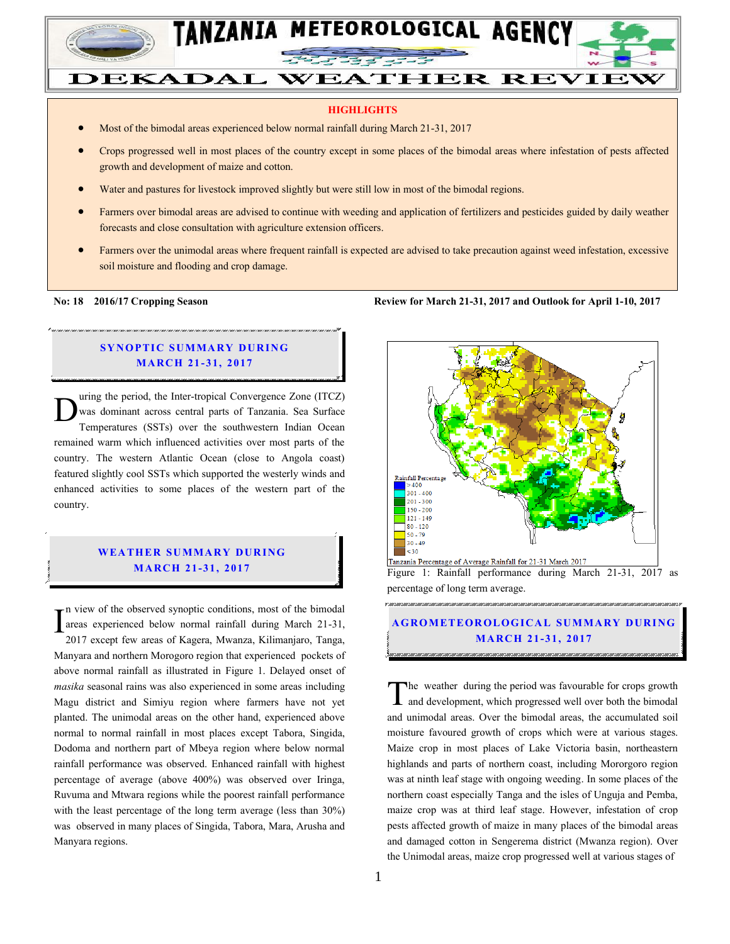

# DEKADAL WEATHER REVIEW

#### **HIGHLIGHTS**

- Most of the bimodal areas experienced below normal rainfall during March 21-31, 2017
- Crops progressed well in most places of the country except in some places of the bimodal areas where infestation of pests affected growth and development of maize and cotton.
- Water and pastures for livestock improved slightly but were still low in most of the bimodal regions.
- Farmers over bimodal areas are advised to continue with weeding and application of fertilizers and pesticides guided by daily weather forecasts and close consultation with agriculture extension officers.
- Farmers over the unimodal areas where frequent rainfall is expected are advised to take precaution against weed infestation, excessive soil moisture and flooding and crop damage.

#### **SYNOPTIC SUMMARY DURING MA RC H 21 - 31, 2017**

uring the period, the Inter-tropical Convergence Zone (ITCZ) was dominant across central parts of Tanzania. Sea Surface Temperatures (SSTs) over the southwestern Indian Ocean remained warm which influenced activities over most parts of the country. The western Atlantic Ocean (close to Angola coast) featured slightly cool SSTs which supported the westerly winds and enhanced activities to some places of the western part of the country. D

#### **WEA TH ER SU MMA RY D UR ING MARCH 21-31, 2017**

n view of the observed synoptic conditions, most of the bimodal areas experienced below normal rainfall during March 21-31, 2017 except few areas of Kagera, Mwanza, Kilimanjaro, Tanga, Manyara and northern Morogoro region that experienced pockets of above normal rainfall as illustrated in Figure 1. Delayed onset of *masika* seasonal rains was also experienced in some areas including Magu district and Simiyu region where farmers have not yet planted. The unimodal areas on the other hand, experienced above normal to normal rainfall in most places except Tabora, Singida, Dodoma and northern part of Mbeya region where below normal rainfall performance was observed. Enhanced rainfall with highest percentage of average (above 400%) was observed over Iringa, Ruvuma and Mtwara regions while the poorest rainfall performance with the least percentage of the long term average (less than 30%) was observed in many places of Singida, Tabora, Mara, Arusha and Manyara regions. I

#### **No: 18 2016/17 Cropping Season Review for March 21-31, 2017 and Outlook for April 1-10, 2017**



percentage of long term average.

## **A G RO METEO R O LOG ICA L SU MMA RY D UR ING MARCH 21-31, 2017**

he weather during the period was favourable for crops growth and development, which progressed well over both the bimodal and unimodal areas. Over the bimodal areas, the accumulated soil moisture favoured growth of crops which were at various stages. Maize crop in most places of Lake Victoria basin, northeastern highlands and parts of northern coast, including Mororgoro region was at ninth leaf stage with ongoing weeding. In some places of the northern coast especially Tanga and the isles of Unguja and Pemba, maize crop was at third leaf stage. However, infestation of crop pests affected growth of maize in many places of the bimodal areas and damaged cotton in Sengerema district (Mwanza region). Over the Unimodal areas, maize crop progressed well at various stages of T